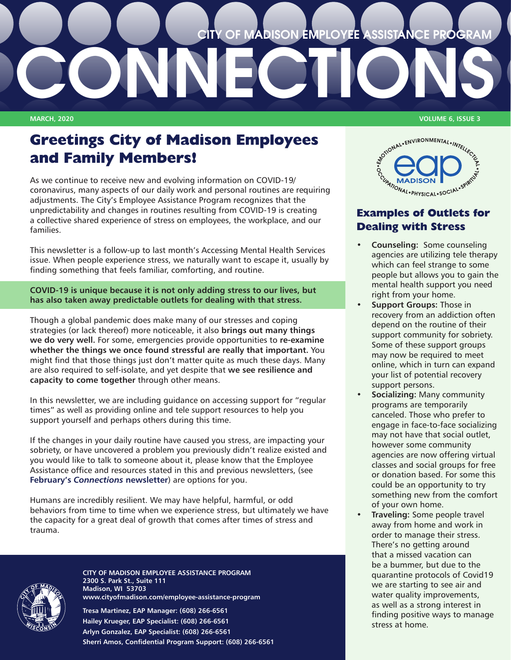# **CITY OF MADISON EMPLOYEE ASSISTANCE PROGRAM**

# **Greetings City of Madison Employees and Family Members!**

**CONNECTIONS**

As we continue to receive new and evolving information on COVID-19/ coronavirus, many aspects of our daily work and personal routines are requiring adjustments. The City's Employee Assistance Program recognizes that the unpredictability and changes in routines resulting from COVID-19 is creating a collective shared experience of stress on employees, the workplace, and our families.

This newsletter is a follow-up to last month's Accessing Mental Health Services issue. When people experience stress, we naturally want to escape it, usually by finding something that feels familiar, comforting, and routine.

**COVID-19 is unique because it is not only adding stress to our lives, but has also taken away predictable outlets for dealing with that stress.** 

Though a global pandemic does make many of our stresses and coping strategies (or lack thereof) more noticeable, it also **brings out many things we do very well.** For some, emergencies provide opportunities to **re-examine whether the things we once found stressful are really that important.** You might find that those things just don't matter quite as much these days. Many are also required to self-isolate, and yet despite that **we see resilience and capacity to come together** through other means.

In this newsletter, we are including guidance on accessing support for "regular times" as well as providing online and tele support resources to help you support yourself and perhaps others during this time.

If the changes in your daily routine have caused you stress, are impacting your sobriety, or have uncovered a problem you previously didn't realize existed and you would like to talk to someone about it, please know that the Employee Assistance office and resources stated in this and previous newsletters, (see **February's** *[Connections](https://www.cityofmadison.com/employee-assistance-program/documents/Connections202002.pdf)* **newsletter**) are options for you.

Humans are incredibly resilient. We may have helpful, harmful, or odd behaviors from time to time when we experience stress, but ultimately we have the capacity for a great deal of growth that comes after times of stress and trauma.



**CITY OF MADISON EMPLOYEE ASSISTANCE PROGRAM 2300 S. Park St., Suite 111 Madison, WI 53703 [www.cityofmadison.com/employee-assistance-program](http://www.cityofmadison.com/employee-assistance-program)**

**Tresa Martinez, EAP Manager: (608) 266-6561 Hailey Krueger, EAP Specialist: (608) 266-6561 Arlyn Gonzalez, EAP Specialist: (608) 266-6561 Sherri Amos, Confidential Program Support: (608) 266-6561**

**MARCH, 2020 VOLUME 6, ISSUE 3**



### **Examples of Outlets for Dealing with Stress**

- **• Counseling:** Some counseling agencies are utilizing tele therapy which can feel strange to some people but allows you to gain the mental health support you need right from your home.
- **• Support Groups:** Those in recovery from an addiction often depend on the routine of their support community for sobriety. Some of these support groups may now be required to meet online, which in turn can expand your list of potential recovery support persons.
- **• Socializing:** Many community programs are temporarily canceled. Those who prefer to engage in face-to-face socializing may not have that social outlet, however some community agencies are now offering virtual classes and social groups for free or donation based. For some this could be an opportunity to try something new from the comfort of your own home.
- **• Traveling:** Some people travel away from home and work in order to manage their stress. There's no getting around that a missed vacation can be a bummer, but due to the quarantine protocols of Covid19 we are starting to see air and water quality improvements, as well as a strong interest in finding positive ways to manage stress at home.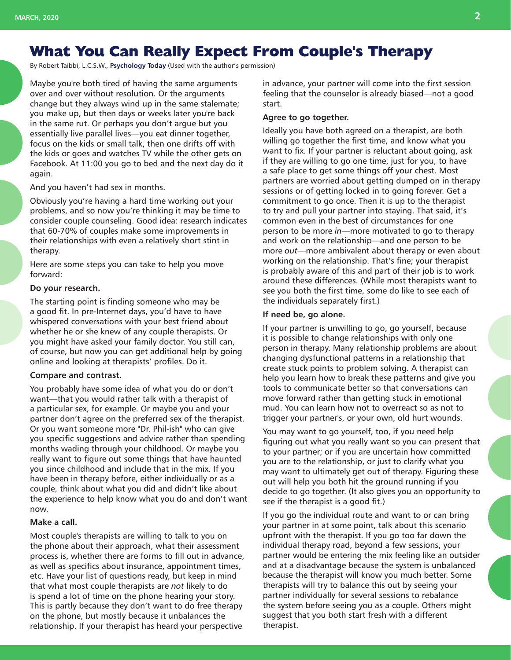# **What You Can Really Expect From Couple's Therapy**

By Robert Taibbi, L.C.S.W., **[Psychology Today](https://www.psychologytoday.com/us/blog/fixing-families/201601/what-you-can-really-expect-couples-therapy)** (Used with the author's permission)

Maybe you're both tired of having the same arguments over and over without resolution. Or the arguments change but they always wind up in the same stalemate; you make up, but then days or weeks later you're back in the same rut. Or perhaps you don't argue but you essentially live parallel lives—you eat dinner together, focus on the kids or small talk, then one drifts off with the kids or goes and watches TV while the other gets on Facebook. At 11:00 you go to bed and the next day do it again.

And you haven't had sex in months.

Obviously you're having a hard time working out your problems, and so now you're thinking it may be time to consider couple counseling. Good idea: research indicates that 60-70% of couples make some improvements in their relationships with even a relatively short stint in therapy.

Here are some steps you can take to help you move forward:

#### **Do your research.**

The starting point is finding someone who may be a good fit. In pre-Internet days, you'd have to have whispered conversations with your best friend about whether he or she knew of any couple therapists. Or you might have asked your family doctor. You still can, of course, but now you can get additional help by going online and looking at therapists' profiles. Do it.

#### **Compare and contrast.**

You probably have some idea of what you do or don't want—that you would rather talk with a therapist of a particular sex, for example. Or maybe you and your partner don't agree on the preferred sex of the therapist. Or you want someone more "Dr. Phil-ish" who can give you specific suggestions and advice rather than spending months wading through your childhood. Or maybe you really want to figure out some things that have haunted you since childhood and include that in the mix. If you have been in therapy before, either individually or as a couple, think about what you did and didn't like about the experience to help know what you do and don't want now.

#### **Make a call.**

Most couple's therapists are willing to talk to you on the phone about their approach, what their assessment process is, whether there are forms to fill out in advance, as well as specifics about insurance, appointment times, etc. Have your list of questions ready, but keep in mind that what most couple therapists are *not* likely to do is spend a lot of time on the phone hearing your story. This is partly because they don't want to do free therapy on the phone, but mostly because it unbalances the relationship. If your therapist has heard your perspective

in advance, your partner will come into the first session feeling that the counselor is already biased—not a good start.

#### **Agree to go together.**

Ideally you have both agreed on a therapist, are both willing go together the first time, and know what you want to fix. If your partner is reluctant about going, ask if they are willing to go one time, just for you, to have a safe place to get some things off your chest. Most partners are worried about getting dumped on in therapy sessions or of getting locked in to going forever. Get a commitment to go once. Then it is up to the therapist to try and pull your partner into staying. That said, it's common even in the best of circumstances for one person to be more *in*—more motivated to go to therapy and work on the relationship—and one person to be more *out*—more ambivalent about therapy or even about working on the relationship. That's fine; your therapist is probably aware of this and part of their job is to work around these differences. (While most therapists want to see you both the first time, some do like to see each of the individuals separately first.)

#### **If need be, go alone.**

If your partner is unwilling to go, go yourself, because it is possible to change relationships with only one person in therapy. Many relationship problems are about changing dysfunctional patterns in a relationship that create stuck points to problem solving. A therapist can help you learn how to break these patterns and give you tools to communicate better so that conversations can move forward rather than getting stuck in emotional mud. You can learn how not to overreact so as not to trigger your partner's, or your own, old hurt wounds.

You may want to go yourself, too, if you need help figuring out what you really want so you can present that to your partner; or if you are uncertain how committed you are to the relationship, or just to clarify what you may want to ultimately get out of therapy. Figuring these out will help you both hit the ground running if you decide to go together. (It also gives you an opportunity to see if the therapist is a good fit.)

If you go the individual route and want to or can bring your partner in at some point, talk about this scenario upfront with the therapist. If you go too far down the individual therapy road, beyond a few sessions, your partner would be entering the mix feeling like an outsider and at a disadvantage because the system is unbalanced because the therapist will know you much better. Some therapists will try to balance this out by seeing your partner individually for several sessions to rebalance the system before seeing you as a couple. Others might suggest that you both start fresh with a different therapist.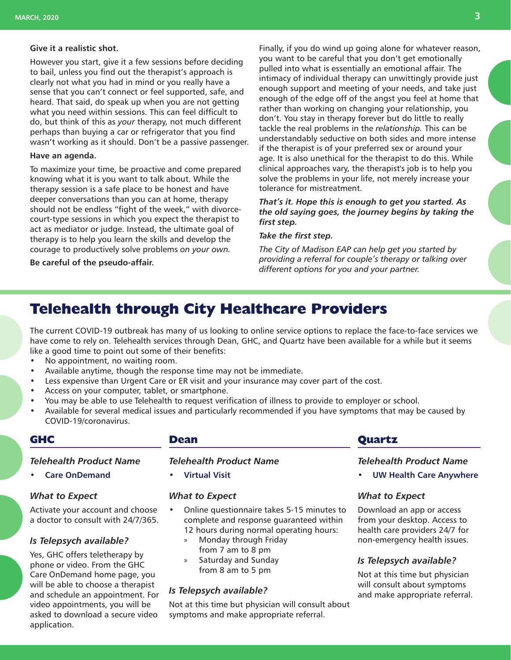#### **Give it a realistic shot.**

However you start, give it a few sessions before deciding to bail, unless you find out the therapist's approach is clearly not what you had in mind or you really have a sense that you can't connect or feel supported, safe, and heard. That said, do speak up when you are not getting what you need within sessions. This can feel difficult to do, but think of this as *your* therapy, not much different perhaps than buying a car or refrigerator that you find wasn't working as it should. Don't be a passive passenger.

#### **Have an agenda.**

To maximize your time, be proactive and come prepared knowing what it is you want to talk about. While the therapy session is a safe place to be honest and have deeper conversations than you can at home, therapy should not be endless "fight of the week," with divorcecourt-type sessions in which you expect the therapist to act as mediator or judge. Instead, the ultimate goal of therapy is to help you learn the skills and develop the courage to productively solve problems *on your own.*

#### **Be careful of the pseudo-affair.**

Finally, if you do wind up going alone for whatever reason, you want to be careful that you don't get emotionally pulled into what is essentially an emotional affair. The intimacy of individual therapy can unwittingly provide just enough support and meeting of your needs, and take just enough of the edge off of the angst you feel at home that rather than working on changing your relationship, you don't. You stay in therapy forever but do little to really tackle the real problems in the *relationship.* This can be understandably seductive on both sides and more intense if the therapist is of your preferred sex or around your age. It is also unethical for the therapist to do this. While clinical approaches vary, the therapist's job is to help you solve the problems in your life, not merely increase your tolerance for mistreatment.

#### *That's it. Hope this is enough to get you started. As the old saying goes, the journey begins by taking the first step.*

#### *Take the first step.*

*The City of Madison EAP can help get you started by providing a referral for couple's therapy or talking over different options for you and your partner.*

# **Telehealth through City Healthcare Providers**

The current COVID-19 outbreak has many of us looking to online service options to replace the face-to-face services we have come to rely on. Telehealth services through Dean, GHC, and Quartz have been available for a while but it seems like a good time to point out some of their benefits:

- No appointment, no waiting room.
- Available anytime, though the response time may not be immediate.
- Less expensive than Urgent Care or ER visit and your insurance may cover part of the cost.
- Access on your computer, tablet, or smartphone.
- You may be able to use Telehealth to request verification of illness to provide to employer or school.
- Available for several medical issues and particularly recommended if you have symptoms that may be caused by COVID-19/coronavirus.

#### **GHC**

#### *Telehealth Product Name*

• **[Care OnDemand](https://www.ghccareondemand.com/careondemand/landing_home)**

#### *What to Expect*

Activate your account and choose a doctor to consult with 24/7/365.

#### *Is Telepsych available?*

Yes, GHC offers teletherapy by phone or video. From the GHC Care OnDemand home page, you will be able to choose a therapist and schedule an appointment. For video appointments, you will be asked to download a secure video application.

#### **Dean**

#### *Telehealth Product Name*

• **[Virtual Visit](https://ssmhealth.zipnosis.com/?_ga=2.178823079.2019126231.1584647778-1133247608.1580758090)**

#### *What to Expect*

- Online questionnaire takes 5-15 minutes to complete and response guaranteed within 12 hours during normal operating hours:
	- » Monday through Friday from 7 am to 8 pm
	- » Saturday and Sunday from 8 am to 5 pm

#### *Is Telepsych available?*

Not at this time but physician will consult about symptoms and make appropriate referral.

#### **Quartz**

#### *Telehealth Product Name*

• **[UW Health Care Anywhere](https://www.uwhealth.org/care-anywhere/52358)**

#### *What to Expect*

Download an app or access from your desktop. Access to health care providers 24/7 for non-emergency health issues.

#### *Is Telepsych available?*

Not at this time but physician will consult about symptoms and make appropriate referral.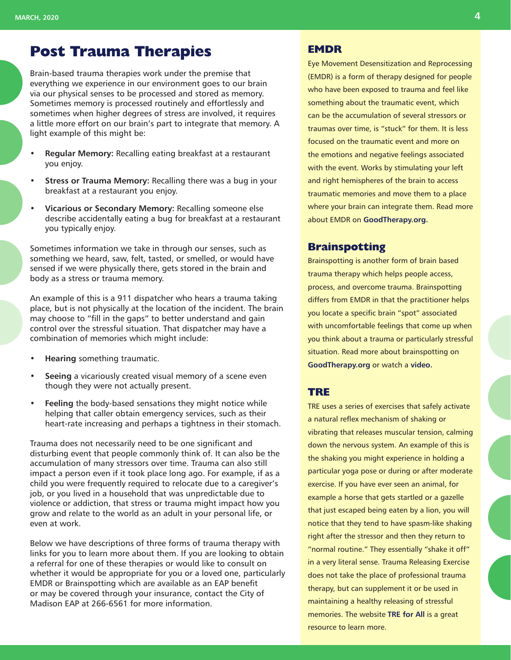## **Post Trauma Therapies**

Brain-based trauma therapies work under the premise that everything we experience in our environment goes to our brain via our physical senses to be processed and stored as memory. Sometimes memory is processed routinely and effortlessly and sometimes when higher degrees of stress are involved, it requires a little more effort on our brain's part to integrate that memory. A light example of this might be:

- **• Regular Memory:** Recalling eating breakfast at a restaurant you enjoy.
- **• Stress or Trauma Memory:** Recalling there was a bug in your breakfast at a restaurant you enjoy.
- **• Vicarious or Secondary Memory:** Recalling someone else describe accidentally eating a bug for breakfast at a restaurant you typically enjoy.

Sometimes information we take in through our senses, such as something we heard, saw, felt, tasted, or smelled, or would have sensed if we were physically there, gets stored in the brain and body as a stress or trauma memory.

An example of this is a 911 dispatcher who hears a trauma taking place, but is not physically at the location of the incident. The brain may choose to "fill in the gaps" to better understand and gain control over the stressful situation. That dispatcher may have a combination of memories which might include:

- **• Hearing** something traumatic.
- **• Seeing** a vicariously created visual memory of a scene even though they were not actually present.
- **• Feeling** the body-based sensations they might notice while helping that caller obtain emergency services, such as their heart-rate increasing and perhaps a tightness in their stomach.

Trauma does not necessarily need to be one significant and disturbing event that people commonly think of. It can also be the accumulation of many stressors over time. Trauma can also still impact a person even if it took place long ago. For example, if as a child you were frequently required to relocate due to a caregiver's job, or you lived in a household that was unpredictable due to violence or addiction, that stress or trauma might impact how you grow and relate to the world as an adult in your personal life, or even at work.

Below we have descriptions of three forms of trauma therapy with links for you to learn more about them. If you are looking to obtain a referral for one of these therapies or would like to consult on whether it would be appropriate for you or a loved one, particularly EMDR or Brainspotting which are available as an EAP benefit or may be covered through your insurance, contact the City of Madison EAP at 266-6561 for more information.

#### **EMDR**

Eye Movement Desensitization and Reprocessing (EMDR) is a form of therapy designed for people who have been exposed to trauma and feel like something about the traumatic event, which can be the accumulation of several stressors or traumas over time, is "stuck" for them. It is less focused on the traumatic event and more on the emotions and negative feelings associated with the event. Works by stimulating your left and right hemispheres of the brain to access traumatic memories and move them to a place where your brain can integrate them. Read more about EMDR on **[GoodTherapy.org.](https://www.goodtherapy.org/learn-about-therapy/types/eye-movement-desensitization-and-reprocessing)**

#### **Brainspotting**

Brainspotting is another form of brain based trauma therapy which helps people access, process, and overcome trauma. Brainspotting differs from EMDR in that the practitioner helps you locate a specific brain "spot" associated with uncomfortable feelings that come up when you think about a trauma or particularly stressful situation. Read more about brainspotting on **[GoodTherapy.org](https://www.goodtherapy.org/learn-about-therapy/types/brainspotting-therapy)** or watch a **[video.](https://vimeo.com/186019577)**

#### **TRE**

TRE uses a series of exercises that safely activate a natural reflex mechanism of shaking or vibrating that releases muscular tension, calming down the nervous system. An example of this is the shaking you might experience in holding a particular yoga pose or during or after moderate exercise. If you have ever seen an animal, for example a horse that gets startled or a gazelle that just escaped being eaten by a lion, you will notice that they tend to have spasm-like shaking right after the stressor and then they return to "normal routine." They essentially "shake it off" in a very literal sense. Trauma Releasing Exercise does not take the place of professional trauma therapy, but can supplement it or be used in maintaining a healthy releasing of stressful memories. The website **[TRE for All](https://traumaprevention.com/)** is a great resource to learn more.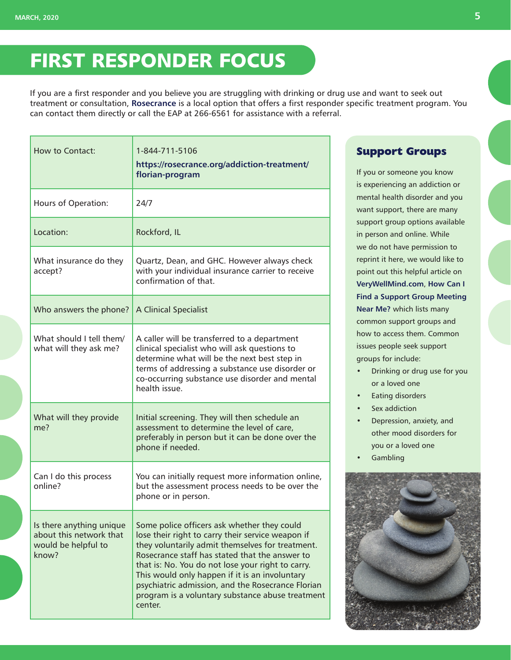# FIRST RESPONDER FOCUS

If you are a first responder and you believe you are struggling with drinking or drug use and want to seek out treatment or consultation, **[Rosecrance](https://rosecrance.org/)** is a local option that offers a first responder specific treatment program. You can contact them directly or call the EAP at 266-6561 for assistance with a referral.

| How to Contact:                                                                     | 1-844-711-5106<br>https://rosecrance.org/addiction-treatment/<br>florian-program                                                                                                                                                                                                                                                                                                                                                  |
|-------------------------------------------------------------------------------------|-----------------------------------------------------------------------------------------------------------------------------------------------------------------------------------------------------------------------------------------------------------------------------------------------------------------------------------------------------------------------------------------------------------------------------------|
| Hours of Operation:                                                                 | 24/7                                                                                                                                                                                                                                                                                                                                                                                                                              |
| Location:                                                                           | Rockford, IL                                                                                                                                                                                                                                                                                                                                                                                                                      |
| What insurance do they<br>accept?                                                   | Quartz, Dean, and GHC. However always check<br>with your individual insurance carrier to receive<br>confirmation of that.                                                                                                                                                                                                                                                                                                         |
| Who answers the phone?                                                              | <b>A Clinical Specialist</b>                                                                                                                                                                                                                                                                                                                                                                                                      |
| What should I tell them/<br>what will they ask me?                                  | A caller will be transferred to a department<br>clinical specialist who will ask questions to<br>determine what will be the next best step in<br>terms of addressing a substance use disorder or<br>co-occurring substance use disorder and mental<br>health issue.                                                                                                                                                               |
| What will they provide<br>me?                                                       | Initial screening. They will then schedule an<br>assessment to determine the level of care,<br>preferably in person but it can be done over the<br>phone if needed.                                                                                                                                                                                                                                                               |
| Can I do this process<br>online?                                                    | You can initially request more information online,<br>but the assessment process needs to be over the<br>phone or in person.                                                                                                                                                                                                                                                                                                      |
| Is there anything unique<br>about this network that<br>would be helpful to<br>know? | Some police officers ask whether they could<br>lose their right to carry their service weapon if<br>they voluntarily admit themselves for treatment.<br>Rosecrance staff has stated that the answer to<br>that is: No. You do not lose your right to carry.<br>This would only happen if it is an involuntary<br>psychiatric admission, and the Rosecrance Florian<br>program is a voluntary substance abuse treatment<br>center. |

### **Support Groups**

If you or someone you know is experiencing an addiction or mental health disorder and you want support, there are many support group options available in person and online. While we do not have permission to reprint it here, we would like to point out this helpful article on **[VeryWellMind.com](https://www.verywellmind.com/)**, **[How Can I](https://www.verywellmind.com/find-a-support-group-meeting-near-you-69433)  [Find a Support Group Meeting](https://www.verywellmind.com/find-a-support-group-meeting-near-you-69433)  [Near Me?](https://www.verywellmind.com/find-a-support-group-meeting-near-you-69433)** which lists many common support groups and how to access them. Common issues people seek support groups for include:

- Drinking or drug use for you or a loved one
- Eating disorders
- Sex addiction
- Depression, anxiety, and other mood disorders for you or a loved one
- **Gambling**

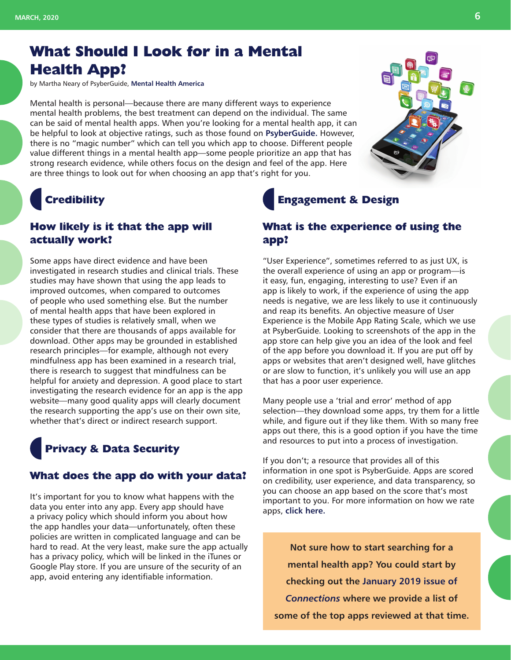# **What Should I Look for in a Mental Health App?**

by Martha Neary of PsyberGuide, **[Mental Health America](https://screening.mhanational.org/content/what-should-i-look-mental-health-app)**

Mental health is personal—because there are many different ways to experience mental health problems, the best treatment can depend on the individual. The same can be said of mental health apps. When you're looking for a mental health app, it can be helpful to look at objective ratings, such as those found on **[PsyberGuide.](https://psyberguide.org/)** However, there is no "magic number" which can tell you which app to choose. Different people value different things in a mental health app—some people prioritize an app that has strong research evidence, while others focus on the design and feel of the app. Here are three things to look out for when choosing an app that's right for you.

# **Credibility**

### **How likely is it that the app will actually work?**

Some apps have direct evidence and have been investigated in research studies and clinical trials. These studies may have shown that using the app leads to improved outcomes, when compared to outcomes of people who used something else. But the number of mental health apps that have been explored in these types of studies is relatively small, when we consider that there are thousands of apps available for download. Other apps may be grounded in established research principles—for example, although not every mindfulness app has been examined in a research trial, there is research to suggest that mindfulness can be helpful for anxiety and depression. A good place to start investigating the research evidence for an app is the app website—many good quality apps will clearly document the research supporting the app's use on their own site, whether that's direct or indirect research support.

### **Privacy & Data Security**

#### **What does the app do with your data?**

It's important for you to know what happens with the data you enter into any app. Every app should have a privacy policy which should inform you about how the app handles your data—unfortunately, often these policies are written in complicated language and can be hard to read. At the very least, make sure the app actually has a privacy policy, which will be linked in the iTunes or Google Play store. If you are unsure of the security of an app, avoid entering any identifiable information.

# **Engagement & Design**

### **What is the experience of using the app?**

"User Experience", sometimes referred to as just UX, is the overall experience of using an app or program—is it easy, fun, engaging, interesting to use? Even if an app is likely to work, if the experience of using the app needs is negative, we are less likely to use it continuously and reap its benefits. An objective measure of User Experience is the Mobile App Rating Scale, which we use at PsyberGuide. Looking to screenshots of the app in the app store can help give you an idea of the look and feel of the app before you download it. If you are put off by apps or websites that aren't designed well, have glitches or are slow to function, it's unlikely you will use an app that has a poor user experience.

Many people use a 'trial and error' method of app selection—they download some apps, try them for a little while, and figure out if they like them. With so many free apps out there, this is a good option if you have the time and resources to put into a process of investigation.

If you don't; a resource that provides all of this information in one spot is PsyberGuide. Apps are scored on credibility, user experience, and data transparency, so you can choose an app based on the score that's most important to you. For more information on how we rate apps, **[click here.](https://psyberguide.org/about-psyberguide/)**

**Not sure how to start searching for a mental health app? You could start by checking out the [January 2019 issue of](https://www.cityofmadison.com/employee-assistance-program/documents/Connections201901.pdf)**  *[Connections](https://www.cityofmadison.com/employee-assistance-program/documents/Connections201901.pdf)* **where we provide a list of some of the top apps reviewed at that time.**